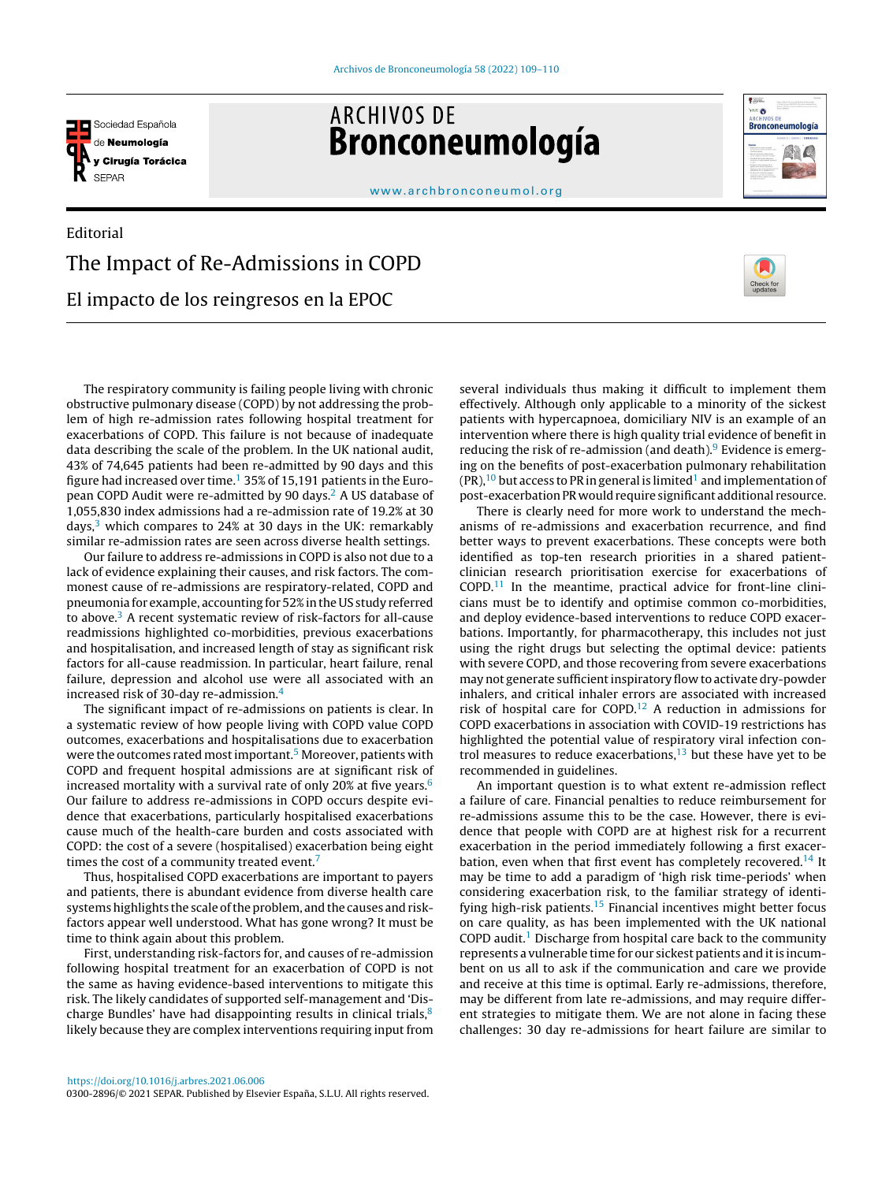

**ARCHIVOS DE** Bronconeumología



[www.archbronconeumol.org](http://www.archbronconeumol.org)

## Editorial The Impact of Re-Admissions in COPD El impacto de los reingresos en la EPOC



The respiratory community is failing people living with chronic obstructive pulmonary disease (COPD) by not addressing the problem of high re-admission rates following hospital treatment for exacerbations of COPD. This failure is not because of inadequate data describing the scale of the problem. In the UK national audit, 43% of 74,645 patients had been re-admitted by 90 days and this figure had increased over time.<sup>[1](#page-1-0)</sup> 35% of 15,191 patients in the European COPD Audit were re-admitted by 90 days.[2](#page-1-0) A US database of 1,055,830 index admissions had a re-admission rate of 19.2% at 30 days, $3$  which compares to 24% at 30 days in the UK: remarkably similar re-admission rates are seen across diverse health settings.

Our failure to address re-admissions in COPD is also not due to a lack of evidence explaining their causes, and risk factors. The commonest cause of re-admissions are respiratory-related, COPD and pneumonia for example, accounting for 52%inthe US study referred to above.<sup>[3](#page-1-0)</sup> A recent systematic review of risk-factors for all-cause readmissions highlighted co-morbidities, previous exacerbations and hospitalisation, and increased length of stay as significant risk factors for all-cause readmission. In particular, heart failure, renal failure, depression and alcohol use were all associated with an increased risk of 30-day re-admission.[4](#page-1-0)

The significant impact of re-admissions on patients is clear. In a systematic review of how people living with COPD value COPD outcomes, exacerbations and hospitalisations due to exacerbation were the outcomes rated most important.<sup>5</sup> [M](#page-1-0)oreover, patients with COPD and frequent hospital admissions are at significant risk of increased mortality with a survival rate of only 20% at five years.<sup>[6](#page-1-0)</sup> Our failure to address re-admissions in COPD occurs despite evidence that exacerbations, particularly hospitalised exacerbations cause much of the health-care burden and costs associated with COPD: the cost of a severe (hospitalised) exacerbation being eight times the cost of a community treated event.<sup>[7](#page-1-0)</sup>

Thus, hospitalised COPD exacerbations are important to payers and patients, there is abundant evidence from diverse health care systems highlights the scale of the problem, and the causes and riskfactors appear well understood. What has gone wrong? It must be time to think again about this problem.

First, understanding risk-factors for, and causes of re-admission following hospital treatment for an exacerbation of COPD is not the same as having evidence-based interventions to mitigate this risk. The likely candidates of supported self-management and 'Discharge Bundles' have had disappointing results in clinical trials, $8$ likely because they are complex interventions requiring input from

several individuals thus making it difficult to implement them effectively. Although only applicable to a minority of the sickest patients with hypercapnoea, domiciliary NIV is an example of an intervention where there is high quality trial evidence of benefit in reducing the risk of re-admission (and death). $9$  Evidence is emerging on the benefits of post-exacerbation pulmonary rehabilitation  $(PR)$ ,<sup>[10](#page-1-0)</sup> but [a](#page-1-0)ccess to PR in general is limited<sup>1</sup> and implementation of post-exacerbation PR would require significant additional resource.

There is clearly need for more work to understand the mechanisms of re-admissions and exacerbation recurrence, and find better ways to prevent exacerbations. These concepts were both identified as top-ten research priorities in a shared patientclinician research prioritisation exercise for exacerbations of  $COPD<sup>11</sup>$  $COPD<sup>11</sup>$  $COPD<sup>11</sup>$  In the meantime, practical advice for front-line clinicians must be to identify and optimise common co-morbidities, and deploy evidence-based interventions to reduce COPD exacerbations. Importantly, for pharmacotherapy, this includes not just using the right drugs but selecting the optimal device: patients with severe COPD, and those recovering from severe exacerbations may not generate sufficient inspiratory flow to activate dry-powder inhalers, and critical inhaler errors are associated with increased risk of hospital care for COPD.[12](#page-1-0) A reduction in admissions for COPD exacerbations in association with COVID-19 restrictions has highlighted the potential value of respiratory viral infection control measures to reduce exacerbations, $13$  but these have yet to be recommended in guidelines.

An important question is to what extent re-admission reflect a failure of care. Financial penalties to reduce reimbursement for re-admissions assume this to be the case. However, there is evidence that people with COPD are at highest risk for a recurrent exacerbation in the period immediately following a first exacer-bation, even when that first event has completely recovered.<sup>[14](#page-1-0)</sup> It may be time to add a paradigm of 'high risk time-periods' when considering exacerbation risk, to the familiar strategy of identi-fying high-risk patients.<sup>[15](#page-1-0)</sup> Financial incentives might better focus on care quality, as has been implemented with the UK national COPD audit.<sup>[1](#page-1-0)</sup> Discharge from hospital care back to the community represents a vulnerable time for our sickest patients and it is incumbent on us all to ask if the communication and care we provide and receive at this time is optimal. Early re-admissions, therefore, may be different from late re-admissions, and may require different strategies to mitigate them. We are not alone in facing these challenges: 30 day re-admissions for heart failure are similar to

<https://doi.org/10.1016/j.arbres.2021.06.006> 0300-2896/© 2021 SEPAR. Published by Elsevier España, S.L.U. All rights reserved.